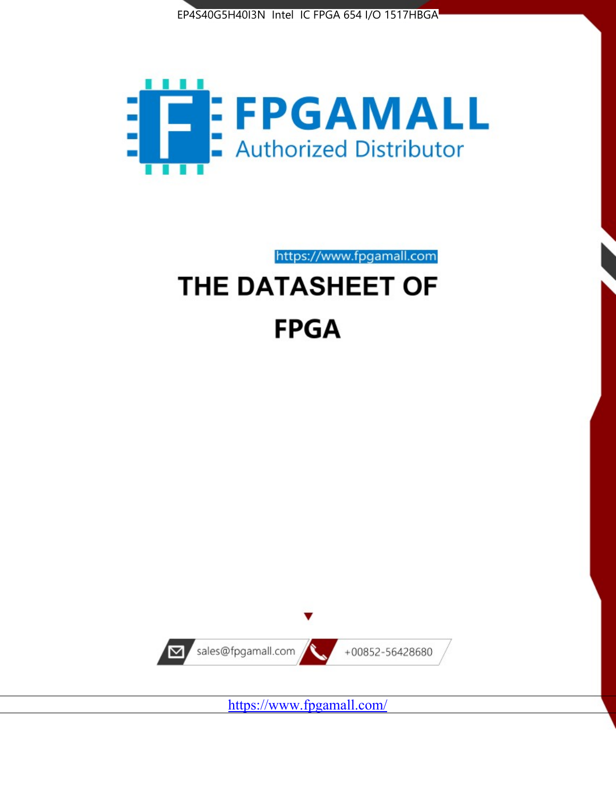



https://www.fpgamall.com THE DATASHEET OF

# **FPGA**



<https://www.fpgamall.com/>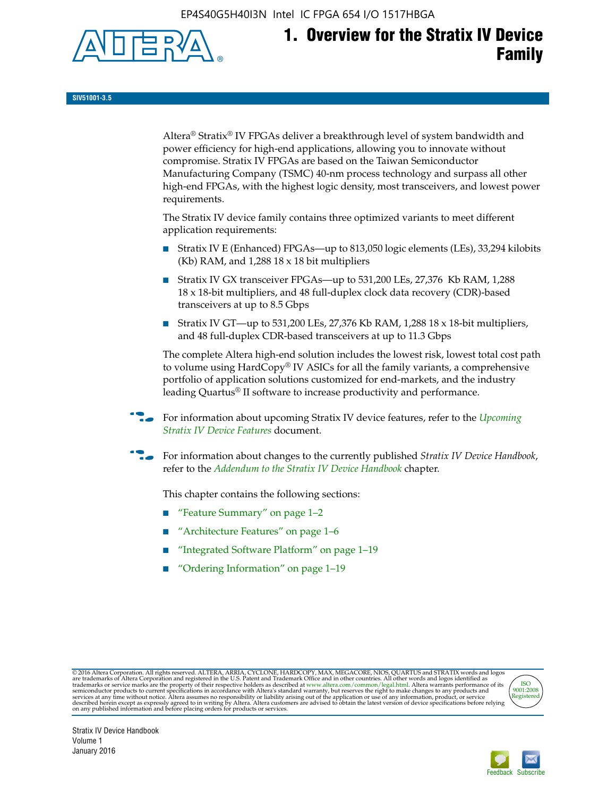EP4S40G5H40I3N Intel IC FPGA 654 I/O 1517HBGA



**SIV51001-3.5**

Altera® Stratix® IV FPGAs deliver a breakthrough level of system bandwidth and power efficiency for high-end applications, allowing you to innovate without compromise. Stratix IV FPGAs are based on the Taiwan Semiconductor Manufacturing Company (TSMC) 40-nm process technology and surpass all other high-end FPGAs, with the highest logic density, most transceivers, and lowest power requirements.

The Stratix IV device family contains three optimized variants to meet different application requirements:

- Stratix IV E (Enhanced) FPGAs—up to 813,050 logic elements (LEs), 33,294 kilobits (Kb) RAM, and 1,288 18 x 18 bit multipliers
- Stratix IV GX transceiver FPGAs—up to 531,200 LEs, 27,376 Kb RAM, 1,288 18 x 18-bit multipliers, and 48 full-duplex clock data recovery (CDR)-based transceivers at up to 8.5 Gbps
- Stratix IV GT—up to 531,200 LEs, 27,376 Kb RAM, 1,288 18 x 18-bit multipliers, and 48 full-duplex CDR-based transceivers at up to 11.3 Gbps

The complete Altera high-end solution includes the lowest risk, lowest total cost path to volume using HardCopy® IV ASICs for all the family variants, a comprehensive portfolio of application solutions customized for end-markets, and the industry leading Quartus® II software to increase productivity and performance.

f For information about upcoming Stratix IV device features, refer to the *[Upcoming](http://www.altera.com/literature/hb/stratix-iv/uf01001.pdf?GSA_pos=2&WT.oss_r=1&WT.oss=upcoming)  [Stratix IV Device Features](http://www.altera.com/literature/hb/stratix-iv/uf01001.pdf?GSA_pos=2&WT.oss_r=1&WT.oss=upcoming)* document.

f For information about changes to the currently published *Stratix IV Device Handbook*, refer to the *[Addendum to the Stratix IV Device Handbook](http://www.altera.com/literature/hb/stratix-iv/stx4_siv54002.pdf)* chapter.

This chapter contains the following sections:

- "Feature Summary" on page 1–2
- "Architecture Features" on page 1–6
- "Integrated Software Platform" on page 1–19
- "Ordering Information" on page 1–19

@2016 Altera Corporation. All rights reserved. ALTERA, ARRIA, CYCLONE, HARDCOPY, MAX, MEGACORE, NIOS, QUARTUS and STRATIX words and logos are trademarks of Altera Corporation and registered in the U.S. Patent and Trademark



Stratix IV Device Handbook Volume 1 January 2016

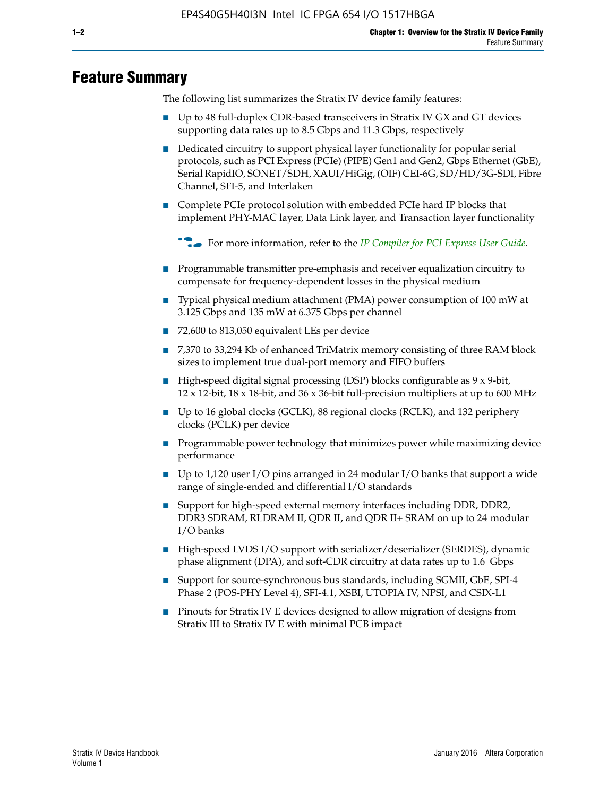# **Feature Summary**

The following list summarizes the Stratix IV device family features:

- Up to 48 full-duplex CDR-based transceivers in Stratix IV GX and GT devices supporting data rates up to 8.5 Gbps and 11.3 Gbps, respectively
- Dedicated circuitry to support physical layer functionality for popular serial protocols, such as PCI Express (PCIe) (PIPE) Gen1 and Gen2, Gbps Ethernet (GbE), Serial RapidIO, SONET/SDH, XAUI/HiGig, (OIF) CEI-6G, SD/HD/3G-SDI, Fibre Channel, SFI-5, and Interlaken
- Complete PCIe protocol solution with embedded PCIe hard IP blocks that implement PHY-MAC layer, Data Link layer, and Transaction layer functionality

**For more information, refer to the** *[IP Compiler for PCI Express User Guide](http://www.altera.com/literature/ug/ug_pci_express.pdf)***.** 

- Programmable transmitter pre-emphasis and receiver equalization circuitry to compensate for frequency-dependent losses in the physical medium
- Typical physical medium attachment (PMA) power consumption of 100 mW at 3.125 Gbps and 135 mW at 6.375 Gbps per channel
- 72,600 to 813,050 equivalent LEs per device
- 7,370 to 33,294 Kb of enhanced TriMatrix memory consisting of three RAM block sizes to implement true dual-port memory and FIFO buffers
- High-speed digital signal processing (DSP) blocks configurable as 9 x 9-bit,  $12 \times 12$ -bit,  $18 \times 18$ -bit, and  $36 \times 36$ -bit full-precision multipliers at up to 600 MHz
- Up to 16 global clocks (GCLK), 88 regional clocks (RCLK), and 132 periphery clocks (PCLK) per device
- Programmable power technology that minimizes power while maximizing device performance
- Up to 1,120 user I/O pins arranged in 24 modular I/O banks that support a wide range of single-ended and differential I/O standards
- Support for high-speed external memory interfaces including DDR, DDR2, DDR3 SDRAM, RLDRAM II, QDR II, and QDR II+ SRAM on up to 24 modular I/O banks
- High-speed LVDS I/O support with serializer/deserializer (SERDES), dynamic phase alignment (DPA), and soft-CDR circuitry at data rates up to 1.6 Gbps
- Support for source-synchronous bus standards, including SGMII, GbE, SPI-4 Phase 2 (POS-PHY Level 4), SFI-4.1, XSBI, UTOPIA IV, NPSI, and CSIX-L1
- Pinouts for Stratix IV E devices designed to allow migration of designs from Stratix III to Stratix IV E with minimal PCB impact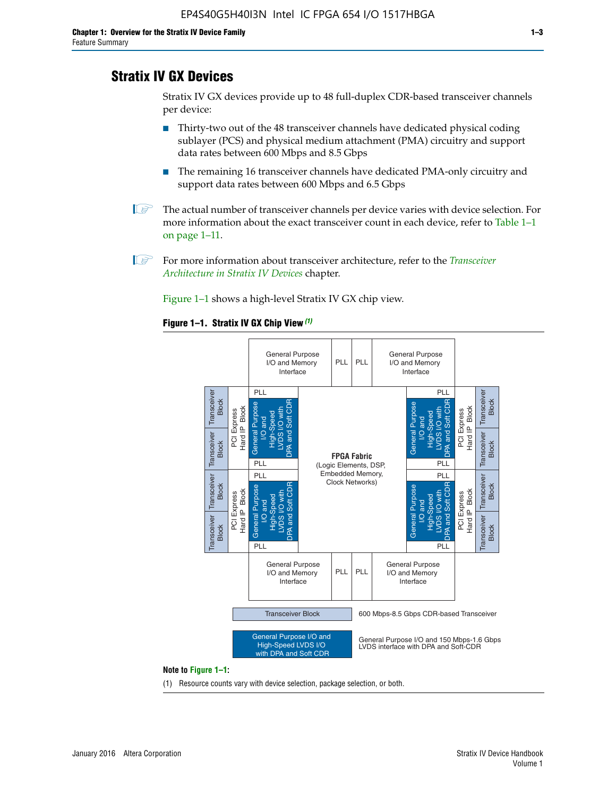# **Stratix IV GX Devices**

Stratix IV GX devices provide up to 48 full-duplex CDR-based transceiver channels per device:

- Thirty-two out of the 48 transceiver channels have dedicated physical coding sublayer (PCS) and physical medium attachment (PMA) circuitry and support data rates between 600 Mbps and 8.5 Gbps
- The remaining 16 transceiver channels have dedicated PMA-only circuitry and support data rates between 600 Mbps and 6.5 Gbps
- **1 The actual number of transceiver channels per device varies with device selection. For** more information about the exact transceiver count in each device, refer to Table 1–1 on page 1–11.
- 1 For more information about transceiver architecture, refer to the *[Transceiver](http://www.altera.com/literature/hb/stratix-iv/stx4_siv52001.pdf)  [Architecture in Stratix IV Devices](http://www.altera.com/literature/hb/stratix-iv/stx4_siv52001.pdf)* chapter.

Figure 1–1 shows a high-level Stratix IV GX chip view.

#### **Figure 1–1. Stratix IV GX Chip View** *(1)*



#### **Note to Figure 1–1:**

(1) Resource counts vary with device selection, package selection, or both.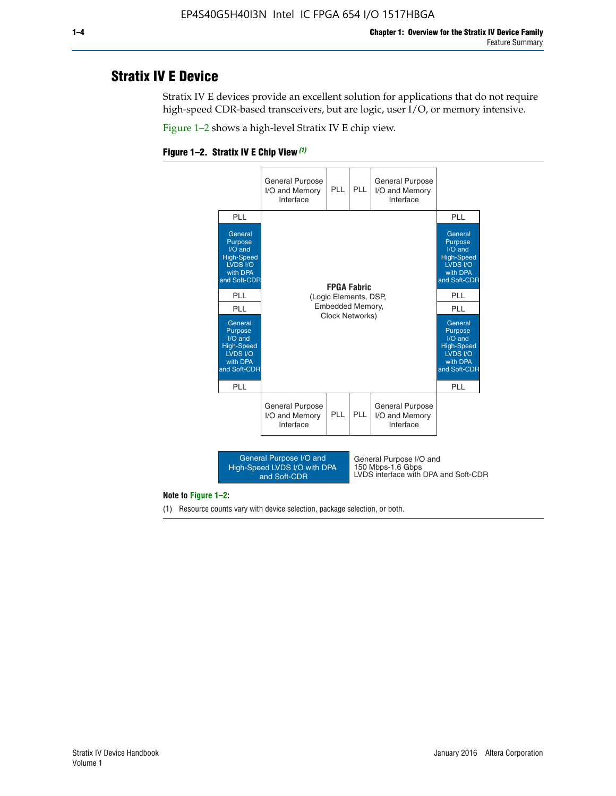# **Stratix IV E Device**

Stratix IV E devices provide an excellent solution for applications that do not require high-speed CDR-based transceivers, but are logic, user I/O, or memory intensive.

Figure 1–2 shows a high-level Stratix IV E chip view.





#### **Note to Figure 1–2:**

(1) Resource counts vary with device selection, package selection, or both.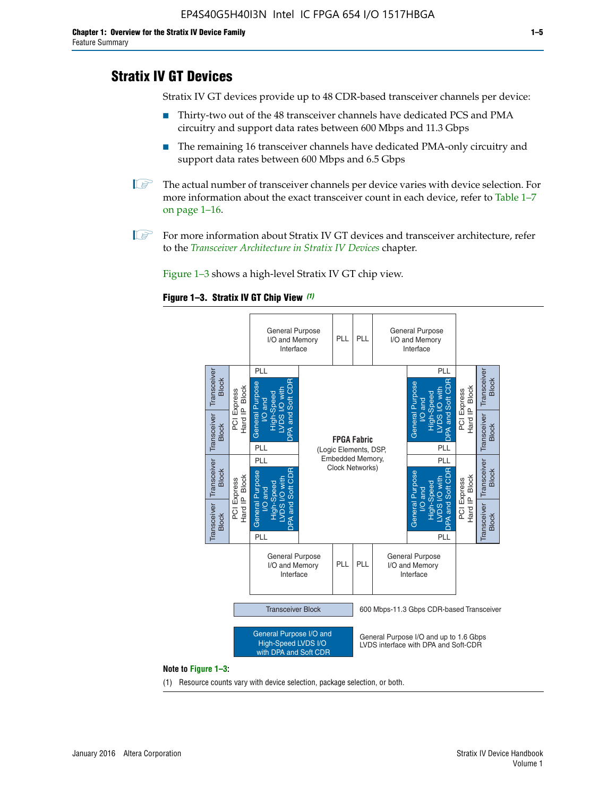# **Stratix IV GT Devices**

Stratix IV GT devices provide up to 48 CDR-based transceiver channels per device:

- Thirty-two out of the 48 transceiver channels have dedicated PCS and PMA circuitry and support data rates between 600 Mbps and 11.3 Gbps
- The remaining 16 transceiver channels have dedicated PMA-only circuitry and support data rates between 600 Mbps and 6.5 Gbps
- **1** The actual number of transceiver channels per device varies with device selection. For more information about the exact transceiver count in each device, refer to Table 1–7 on page 1–16.
- $\mathbb{I}$  For more information about Stratix IV GT devices and transceiver architecture, refer to the *[Transceiver Architecture in Stratix IV Devices](http://www.altera.com/literature/hb/stratix-iv/stx4_siv52001.pdf)* chapter.

Figure 1–3 shows a high-level Stratix IV GT chip view.

#### **Figure 1–3. Stratix IV GT Chip View** *(1)*



(1) Resource counts vary with device selection, package selection, or both.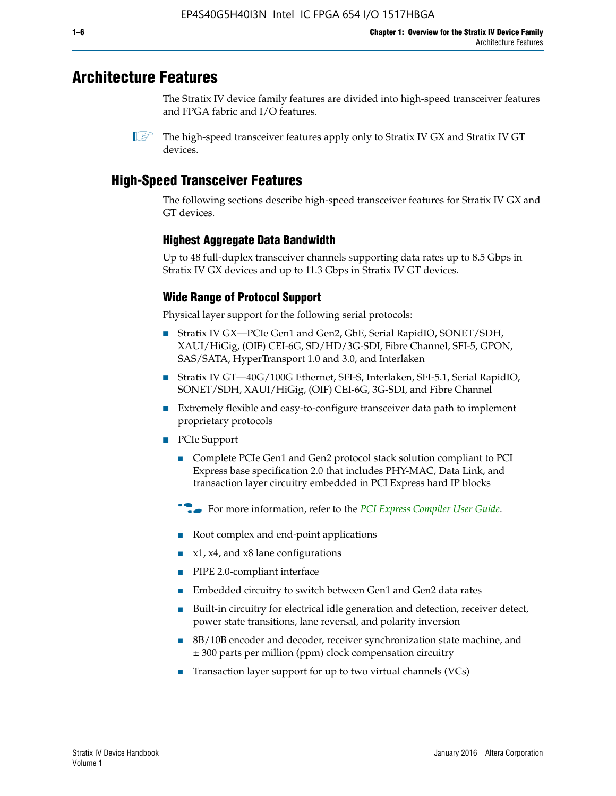# **Architecture Features**

The Stratix IV device family features are divided into high-speed transceiver features and FPGA fabric and I/O features.

 $\mathbb{I}$  The high-speed transceiver features apply only to Stratix IV GX and Stratix IV GT devices.

# **High-Speed Transceiver Features**

The following sections describe high-speed transceiver features for Stratix IV GX and GT devices.

## **Highest Aggregate Data Bandwidth**

Up to 48 full-duplex transceiver channels supporting data rates up to 8.5 Gbps in Stratix IV GX devices and up to 11.3 Gbps in Stratix IV GT devices.

# **Wide Range of Protocol Support**

Physical layer support for the following serial protocols:

- Stratix IV GX—PCIe Gen1 and Gen2, GbE, Serial RapidIO, SONET/SDH, XAUI/HiGig, (OIF) CEI-6G, SD/HD/3G-SDI, Fibre Channel, SFI-5, GPON, SAS/SATA, HyperTransport 1.0 and 3.0, and Interlaken
- Stratix IV GT—40G/100G Ethernet, SFI-S, Interlaken, SFI-5.1, Serial RapidIO, SONET/SDH, XAUI/HiGig, (OIF) CEI-6G, 3G-SDI, and Fibre Channel
- Extremely flexible and easy-to-configure transceiver data path to implement proprietary protocols
- PCIe Support
	- Complete PCIe Gen1 and Gen2 protocol stack solution compliant to PCI Express base specification 2.0 that includes PHY-MAC, Data Link, and transaction layer circuitry embedded in PCI Express hard IP blocks
	- **For more information, refer to the [PCI Express Compiler User Guide](http://www.altera.com/literature/ug/ug_pci_express.pdf).**
	- Root complex and end-point applications
	- $x1, x4,$  and  $x8$  lane configurations
	- PIPE 2.0-compliant interface
	- Embedded circuitry to switch between Gen1 and Gen2 data rates
	- Built-in circuitry for electrical idle generation and detection, receiver detect, power state transitions, lane reversal, and polarity inversion
	- 8B/10B encoder and decoder, receiver synchronization state machine, and ± 300 parts per million (ppm) clock compensation circuitry
	- Transaction layer support for up to two virtual channels (VCs)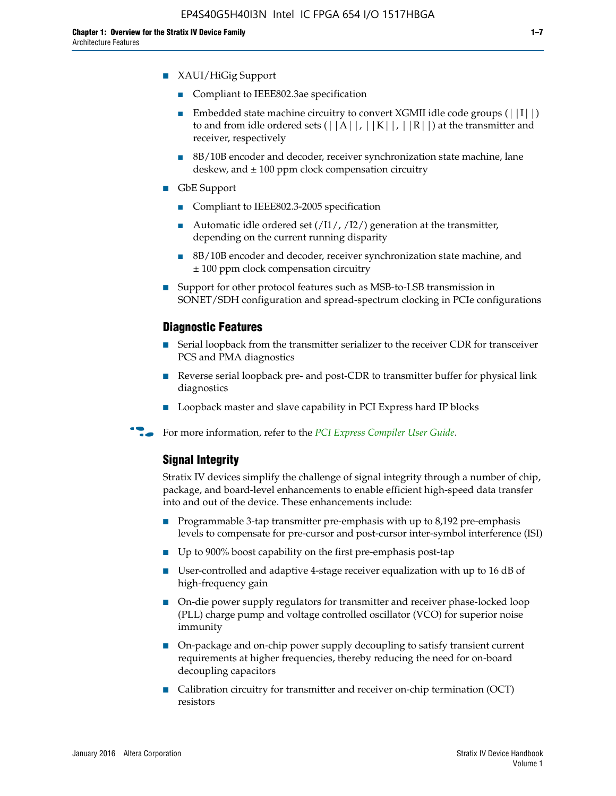- Compliant to IEEE802.3ae specification
- **■** Embedded state machine circuitry to convert XGMII idle code groups  $(|11|)$ to and from idle ordered sets  $(|A|, |K|, |R|)$  at the transmitter and receiver, respectively
- 8B/10B encoder and decoder, receiver synchronization state machine, lane deskew, and  $\pm 100$  ppm clock compensation circuitry
- GbE Support
	- Compliant to IEEE802.3-2005 specification
	- Automatic idle ordered set  $(111/112/1)$  generation at the transmitter, depending on the current running disparity
	- 8B/10B encoder and decoder, receiver synchronization state machine, and ± 100 ppm clock compensation circuitry
- Support for other protocol features such as MSB-to-LSB transmission in SONET/SDH configuration and spread-spectrum clocking in PCIe configurations

## **Diagnostic Features**

- Serial loopback from the transmitter serializer to the receiver CDR for transceiver PCS and PMA diagnostics
- Reverse serial loopback pre- and post-CDR to transmitter buffer for physical link diagnostics
- Loopback master and slave capability in PCI Express hard IP blocks
- **For more information, refer to the** *[PCI Express Compiler User Guide](http://www.altera.com/literature/ug/ug_pci_express.pdf)***.**

## **Signal Integrity**

Stratix IV devices simplify the challenge of signal integrity through a number of chip, package, and board-level enhancements to enable efficient high-speed data transfer into and out of the device. These enhancements include:

- Programmable 3-tap transmitter pre-emphasis with up to 8,192 pre-emphasis levels to compensate for pre-cursor and post-cursor inter-symbol interference (ISI)
- Up to 900% boost capability on the first pre-emphasis post-tap
- User-controlled and adaptive 4-stage receiver equalization with up to 16 dB of high-frequency gain
- On-die power supply regulators for transmitter and receiver phase-locked loop (PLL) charge pump and voltage controlled oscillator (VCO) for superior noise immunity
- On-package and on-chip power supply decoupling to satisfy transient current requirements at higher frequencies, thereby reducing the need for on-board decoupling capacitors
- Calibration circuitry for transmitter and receiver on-chip termination (OCT) resistors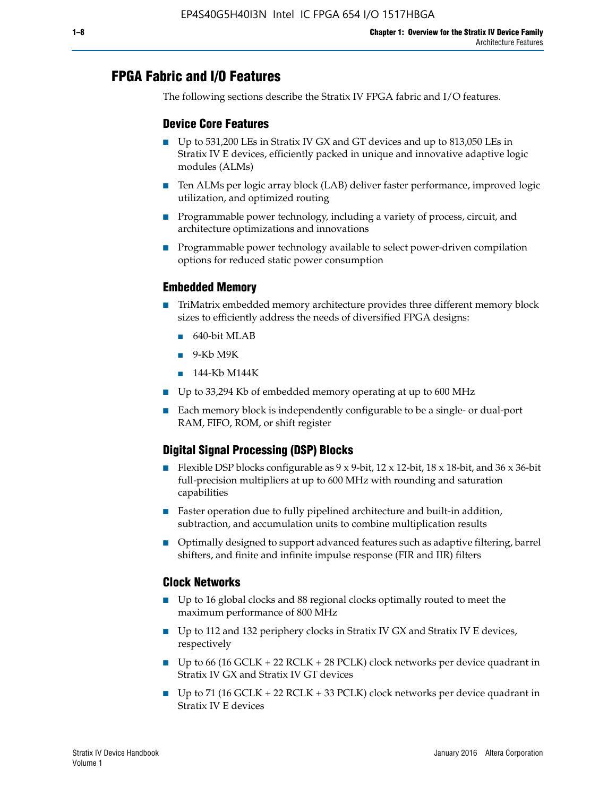# **FPGA Fabric and I/O Features**

The following sections describe the Stratix IV FPGA fabric and I/O features.

## **Device Core Features**

- Up to 531,200 LEs in Stratix IV GX and GT devices and up to 813,050 LEs in Stratix IV E devices, efficiently packed in unique and innovative adaptive logic modules (ALMs)
- Ten ALMs per logic array block (LAB) deliver faster performance, improved logic utilization, and optimized routing
- Programmable power technology, including a variety of process, circuit, and architecture optimizations and innovations
- Programmable power technology available to select power-driven compilation options for reduced static power consumption

#### **Embedded Memory**

- TriMatrix embedded memory architecture provides three different memory block sizes to efficiently address the needs of diversified FPGA designs:
	- 640-bit MLAB
	- 9-Kb M9K
	- 144-Kb M144K
- Up to 33,294 Kb of embedded memory operating at up to 600 MHz
- Each memory block is independently configurable to be a single- or dual-port RAM, FIFO, ROM, or shift register

# **Digital Signal Processing (DSP) Blocks**

- Flexible DSP blocks configurable as  $9 \times 9$ -bit,  $12 \times 12$ -bit,  $18 \times 18$ -bit, and  $36 \times 36$ -bit full-precision multipliers at up to 600 MHz with rounding and saturation capabilities
- Faster operation due to fully pipelined architecture and built-in addition, subtraction, and accumulation units to combine multiplication results
- Optimally designed to support advanced features such as adaptive filtering, barrel shifters, and finite and infinite impulse response (FIR and IIR) filters

#### **Clock Networks**

- Up to 16 global clocks and 88 regional clocks optimally routed to meet the maximum performance of 800 MHz
- Up to 112 and 132 periphery clocks in Stratix IV GX and Stratix IV E devices, respectively
- Up to 66 (16 GCLK + 22 RCLK + 28 PCLK) clock networks per device quadrant in Stratix IV GX and Stratix IV GT devices
- Up to 71 (16 GCLK + 22 RCLK + 33 PCLK) clock networks per device quadrant in Stratix IV E devices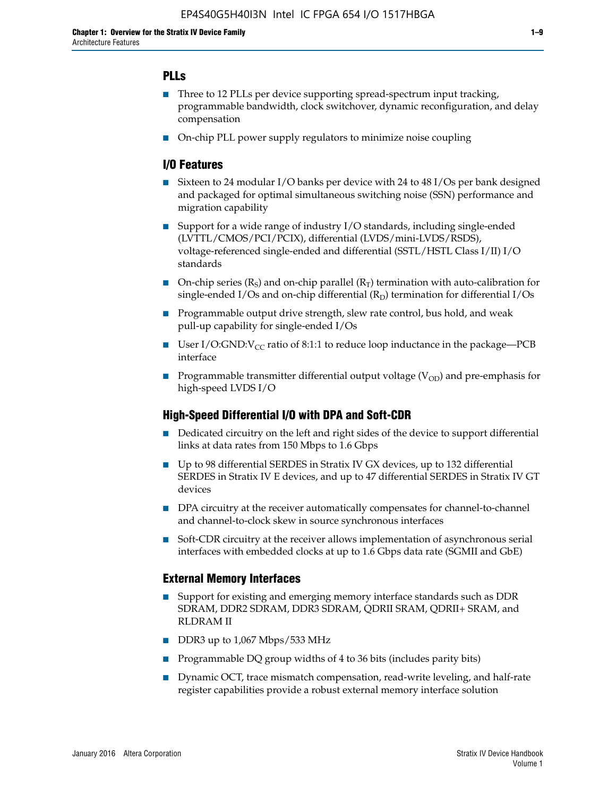# **PLLs**

- Three to 12 PLLs per device supporting spread-spectrum input tracking, programmable bandwidth, clock switchover, dynamic reconfiguration, and delay compensation
- On-chip PLL power supply regulators to minimize noise coupling

## **I/O Features**

- Sixteen to 24 modular I/O banks per device with 24 to 48 I/Os per bank designed and packaged for optimal simultaneous switching noise (SSN) performance and migration capability
- Support for a wide range of industry I/O standards, including single-ended (LVTTL/CMOS/PCI/PCIX), differential (LVDS/mini-LVDS/RSDS), voltage-referenced single-ended and differential (SSTL/HSTL Class I/II) I/O standards
- **O**n-chip series  $(R_S)$  and on-chip parallel  $(R_T)$  termination with auto-calibration for single-ended I/Os and on-chip differential  $(R_D)$  termination for differential I/Os
- Programmable output drive strength, slew rate control, bus hold, and weak pull-up capability for single-ended I/Os
- User I/O:GND: $V_{CC}$  ratio of 8:1:1 to reduce loop inductance in the package—PCB interface
- **■** Programmable transmitter differential output voltage ( $V_{OD}$ ) and pre-emphasis for high-speed LVDS I/O

## **High-Speed Differential I/O with DPA and Soft-CDR**

- Dedicated circuitry on the left and right sides of the device to support differential links at data rates from 150 Mbps to 1.6 Gbps
- Up to 98 differential SERDES in Stratix IV GX devices, up to 132 differential SERDES in Stratix IV E devices, and up to 47 differential SERDES in Stratix IV GT devices
- DPA circuitry at the receiver automatically compensates for channel-to-channel and channel-to-clock skew in source synchronous interfaces
- Soft-CDR circuitry at the receiver allows implementation of asynchronous serial interfaces with embedded clocks at up to 1.6 Gbps data rate (SGMII and GbE)

#### **External Memory Interfaces**

- Support for existing and emerging memory interface standards such as DDR SDRAM, DDR2 SDRAM, DDR3 SDRAM, QDRII SRAM, QDRII+ SRAM, and RLDRAM II
- DDR3 up to 1,067 Mbps/533 MHz
- Programmable DQ group widths of 4 to 36 bits (includes parity bits)
- Dynamic OCT, trace mismatch compensation, read-write leveling, and half-rate register capabilities provide a robust external memory interface solution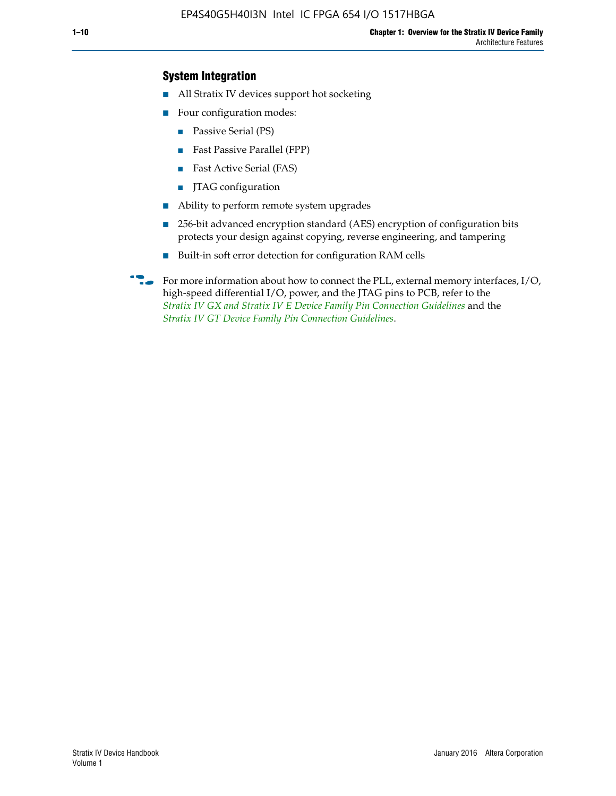## **System Integration**

- All Stratix IV devices support hot socketing
- Four configuration modes:
	- Passive Serial (PS)
	- Fast Passive Parallel (FPP)
	- Fast Active Serial (FAS)
	- JTAG configuration
- Ability to perform remote system upgrades
- 256-bit advanced encryption standard (AES) encryption of configuration bits protects your design against copying, reverse engineering, and tampering
- Built-in soft error detection for configuration RAM cells
- For more information about how to connect the PLL, external memory interfaces,  $I/O$ , high-speed differential I/O, power, and the JTAG pins to PCB, refer to the *[Stratix IV GX and Stratix IV E Device Family Pin Connection Guidelines](http://www.altera.com/literature/dp/stratix4/PCG-01005.pdf)* and the *[Stratix IV GT Device Family Pin Connection Guidelines](http://www.altera.com/literature/dp/stratix4/PCG-01006.pdf)*.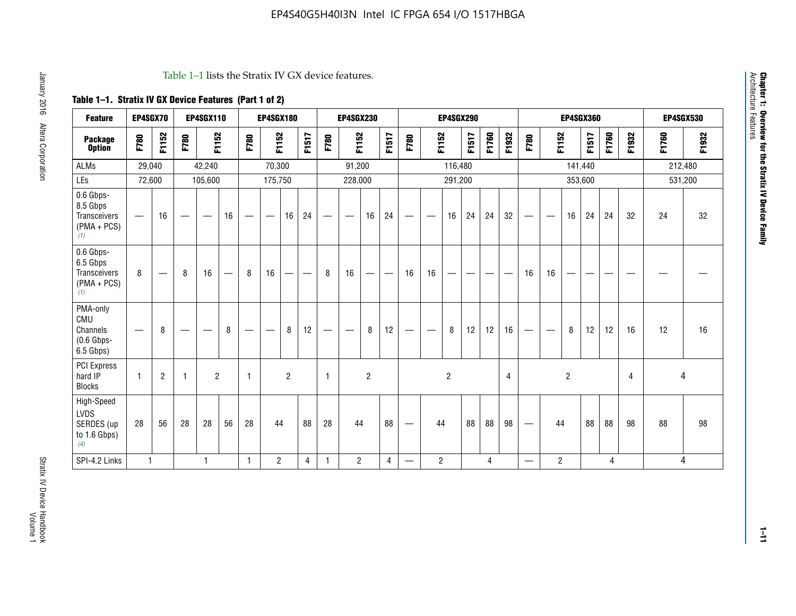#### Table 1–1 lists the Stratix IV GX device features.

# **Table 1–1. Stratix IV GX Device Features (Part 1 of 2)**

| <b>Feature</b>                                                | EP4SGX70                       |                |                   | <b>EP4SGX110</b>  |    |                                | <b>EP4SGX180</b>               |                |       |              | <b>EP4SGX230</b>              |                |                               |                                |                | <b>EP4SGX290</b> |       |       |       |                          |                   |                | <b>EP4SGX360</b> |       |       |       | <b>EP4SGX530</b> |
|---------------------------------------------------------------|--------------------------------|----------------|-------------------|-------------------|----|--------------------------------|--------------------------------|----------------|-------|--------------|-------------------------------|----------------|-------------------------------|--------------------------------|----------------|------------------|-------|-------|-------|--------------------------|-------------------|----------------|------------------|-------|-------|-------|------------------|
| <b>Package</b><br><b>Option</b>                               | F780                           | F1152          | F780              | F1152             |    | F780                           | F1152                          |                | F1517 | F780         | F1152                         |                | F1517                         | F780                           | F1152          |                  | F1517 | F1760 | F1932 | F780                     | F1152             |                | F1517            | F1760 | F1932 | F1760 | F1932            |
| <b>ALMs</b>                                                   | 29,040                         |                |                   | 42,240            |    |                                | 70,300                         |                |       |              | 91,200                        |                |                               |                                |                | 116,480          |       |       |       |                          |                   |                | 141,440          |       |       |       | 212,480          |
| LEs                                                           | 72,600                         |                |                   | 105,600           |    |                                | 175,750                        |                |       |              | 228,000                       |                |                               |                                |                | 291,200          |       |       |       |                          |                   | 353,600        |                  |       |       |       | 531,200          |
| 0.6 Gbps-<br>8.5 Gbps<br>Transceivers<br>$(PMA + PCs)$<br>(1) |                                | 16             | $\hspace{0.05cm}$ | $\hspace{0.05cm}$ | 16 | $\qquad \qquad \longleftarrow$ | $\hspace{0.05cm}$              | 16             | 24    |              | $\overbrace{\phantom{aaaaa}}$ | 16             | 24                            | —                              |                | 16               | 24    | 24    | 32    | $\overline{\phantom{0}}$ | $\hspace{0.05cm}$ | 16             | 24               | 24    | 32    | 24    | 32               |
| 0.6 Gbps-<br>6.5 Gbps<br>Transceivers<br>$(PMA + PCS)$<br>(1) | 8                              |                | 8                 | 16                | —  | 8                              | 16                             | -              | —     | 8            | 16                            | —              | $\overbrace{\phantom{aaaaa}}$ | 16                             | 16             |                  |       |       |       | 16                       | 16                |                |                  |       |       |       |                  |
| PMA-only<br>CMU<br>Channels<br>$(0.6$ Gbps-<br>6.5 Gbps)      | $\qquad \qquad \longleftarrow$ | 8              | $\hspace{0.05cm}$ |                   | 8  | $\qquad \qquad \longleftarrow$ | $\qquad \qquad \longleftarrow$ | 8              | 12    | -            | $\overline{\phantom{a}}$      | 8              | 12                            | $\qquad \qquad \longleftarrow$ |                | 8                | 12    | 12    | 16    |                          | $\hspace{0.05cm}$ | 8              | 12               | 12    | 16    | 12    | 16               |
| PCI Express<br>hard IP<br><b>Blocks</b>                       | $\mathbf{1}$                   | $\overline{2}$ | -1                | $\overline{2}$    |    | 1                              |                                | $\overline{2}$ |       | $\mathbf{1}$ |                               | $\overline{c}$ |                               |                                |                | $\overline{c}$   |       |       | 4     |                          |                   | $\overline{2}$ |                  |       | 4     |       | 4                |
| High-Speed<br>LVDS<br>SERDES (up<br>to 1.6 Gbps)<br>(4)       | 28                             | 56             | 28                | 28                | 56 | 28                             | 44                             |                | 88    | 28           | 44                            |                | 88                            | —                              | 44             |                  | 88    | 88    | 98    |                          | 44                |                | 88               | 88    | 98    | 88    | 98               |
| SPI-4.2 Links                                                 | $\mathbf{1}$                   |                |                   | 1                 |    | $\mathbf{1}$                   | $\overline{c}$                 |                | 4     | $\mathbf{1}$ | $\overline{c}$                |                | $\overline{4}$                | —                              | $\overline{2}$ |                  |       | 4     |       | $\overline{\phantom{0}}$ | $\overline{2}$    |                |                  | 4     |       |       | 4                |

**1–11**

**Chapter 1: Overview for the Stratix IV Device Family**

Chapter 1: Overview for the Stratix IV Device Family<br>Architecture Features

Architecture Features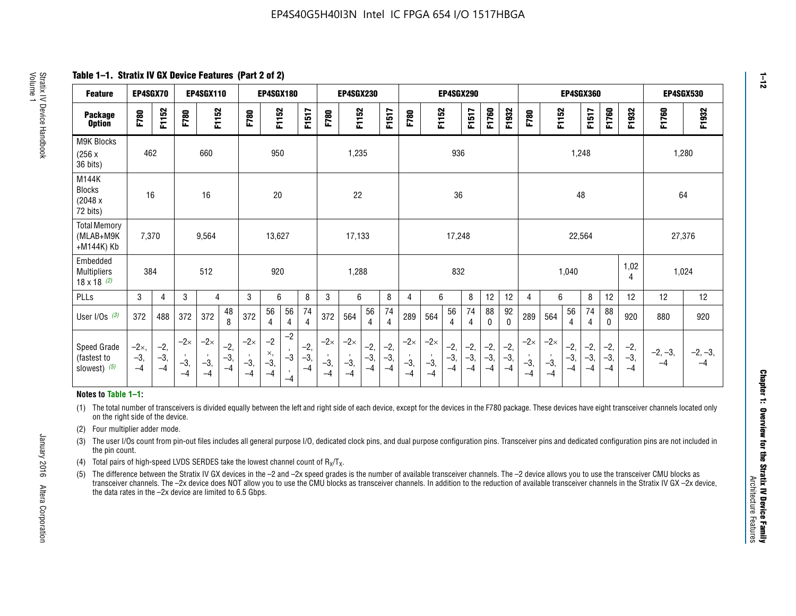**Table 1–1. Stratix IV GX Device Features (Part 2 of 2)**

| <b>Feature</b>                                       | EP4SGX70                      |                        |                             | <b>EP4SGX110</b>            |                        |                             | <b>EP4SGX180</b>            |                                              |                        | <b>EP4SGX230</b><br>EP4SGX290<br><b>EP4SGX360</b> |                             | <b>EP4SGX530</b>     |                        |                             |                             |                      |                       |                        |                      |                             |                           |                        |                      |                      |                        |                   |                   |
|------------------------------------------------------|-------------------------------|------------------------|-----------------------------|-----------------------------|------------------------|-----------------------------|-----------------------------|----------------------------------------------|------------------------|---------------------------------------------------|-----------------------------|----------------------|------------------------|-----------------------------|-----------------------------|----------------------|-----------------------|------------------------|----------------------|-----------------------------|---------------------------|------------------------|----------------------|----------------------|------------------------|-------------------|-------------------|
| <b>Package</b><br><b>Option</b>                      | F780                          | F1152                  | F780                        | F1152                       |                        | F780                        | F1152                       |                                              | F1517                  | F780                                              | F1152                       |                      | F1517                  | F780                        | F1152                       |                      | F1517                 | F1760                  | F1932                | F780                        | F1152                     |                        | F1517                | F1760                | F1932                  | F1760             | F1932             |
| <b>M9K Blocks</b><br>(256x)<br>36 bits)              | 462                           |                        |                             | 660                         |                        |                             | 950                         |                                              |                        |                                                   | 1,235                       |                      |                        |                             |                             | 936                  |                       |                        |                      |                             |                           | 1,248                  |                      |                      |                        | 1,280             |                   |
| M144K<br><b>Blocks</b><br>(2048 x<br>72 bits)        | 16                            |                        |                             | 16                          |                        |                             | 20                          |                                              |                        |                                                   | 22                          |                      |                        |                             |                             | 36                   |                       |                        |                      |                             |                           | 48                     |                      |                      |                        | 64                |                   |
| <b>Total Memory</b><br>(MLAB+M9K<br>+M144K) Kb       | 7,370                         |                        |                             | 9,564                       |                        |                             | 13,627                      |                                              |                        |                                                   | 17,133                      |                      |                        |                             |                             | 17,248               |                       |                        |                      |                             |                           | 22,564                 |                      |                      |                        | 27,376            |                   |
| Embedded<br><b>Multipliers</b><br>$18 \times 18$ (2) | 384                           |                        |                             | 512                         |                        |                             | 920                         |                                              |                        |                                                   | 1,288                       |                      |                        |                             |                             | 832                  |                       |                        |                      |                             |                           | 1,040                  |                      |                      | 1,02<br>4              | 1,024             |                   |
| PLLs                                                 | 3                             | $\overline{4}$         | 3                           | 4                           |                        | 3                           | 6                           |                                              | 8                      | 3                                                 | 6                           |                      | 8                      | $\overline{4}$              | 6                           |                      | 8                     | 12                     | 12                   | 4                           | 6                         |                        | 8                    | 12                   | 12                     | 12                | 12                |
| User $I/Os$ $(3)$                                    | 372                           | 488                    | 372                         | 372                         | 48<br>8                | 372                         | 56<br>4                     | 56<br>4                                      | 74<br>4                | 372                                               | 564                         | 56<br>4              | 74<br>$\overline{4}$   | 289                         | 564                         | 56<br>4              | 74<br>4               | 88<br>0                | 92<br>$\mathbf{0}$   | 289                         | 564                       | 56<br>4                | 74<br>4              | 88<br>0              | 920                    | 880               | 920               |
| Speed Grade<br>(fastest to<br>slowest) (5)           | $-2\times$ ,<br>$-3,$<br>$-4$ | $-2,$<br>$-3,$<br>$-4$ | $-2\times$<br>$-3,$<br>$-4$ | $-2\times$<br>$-3,$<br>$-4$ | $-2,$<br>$-3,$<br>$-4$ | $-2\times$<br>$-3,$<br>$-4$ | $-2$<br>×,<br>$-3,$<br>$-4$ | $-2$<br>$\,$<br>$-3$<br>$\mathbf{r}$<br>$-4$ | $-2,$<br>$-3,$<br>$-4$ | $-2\times$<br>$-3,$<br>$-4$                       | $-2\times$<br>$-3,$<br>$-4$ | $-2,$<br>-3,<br>$-4$ | $-2,$<br>$-3,$<br>$-4$ | $-2\times$<br>$-3,$<br>$-4$ | $-2\times$<br>$-3,$<br>$-4$ | $-2,$<br>-3,<br>$-4$ | $-2,$<br>$-3$<br>$-4$ | $-2,$<br>$-3,$<br>$-4$ | $-2,$<br>-3,<br>$-4$ | $-2\times$<br>$-3,$<br>$-4$ | $-2\times$<br>$-3,$<br>-4 | $-2,$<br>$-3,$<br>$-4$ | $-2,$<br>-3,<br>$-4$ | $-2,$<br>$-3,$<br>-4 | $-2,$<br>$-3,$<br>$-4$ | $-2, -3,$<br>$-4$ | $-2, -3,$<br>$-4$ |

#### **Notes to Table 1–1:**

(1) The total number of transceivers is divided equally between the left and right side of each device, except for the devices in the F780 package. These devices have eight transceiver channels located only on the right side of the device.

- (2) Four multiplier adder mode.
- (3) The user I/Os count from pin-out files includes all general purpose I/O, dedicated clock pins, and dual purpose configuration pins. Transceiver pins and dedicated configuration pins are not included in the pin count.
- (4) Total pairs of high-speed LVDS SERDES take the lowest channel count of  $R_X/T_X$ .
- (5) The difference between the Stratix IV GX devices in the –2 and –2x speed grades is the number of available transceiver channels. The –2 device allows you to use the transceiver CMU blocks as transceiver channels. The –2x device does NOT allow you to use the CMU blocks as transceiver channels. In addition to the reduction of available transceiver channels in the Stratix IV GX –2x device, the data rates in the –2x device are limited to 6.5 Gbps.

January 2016 Altera Corporation

Altera Corporation

January 2016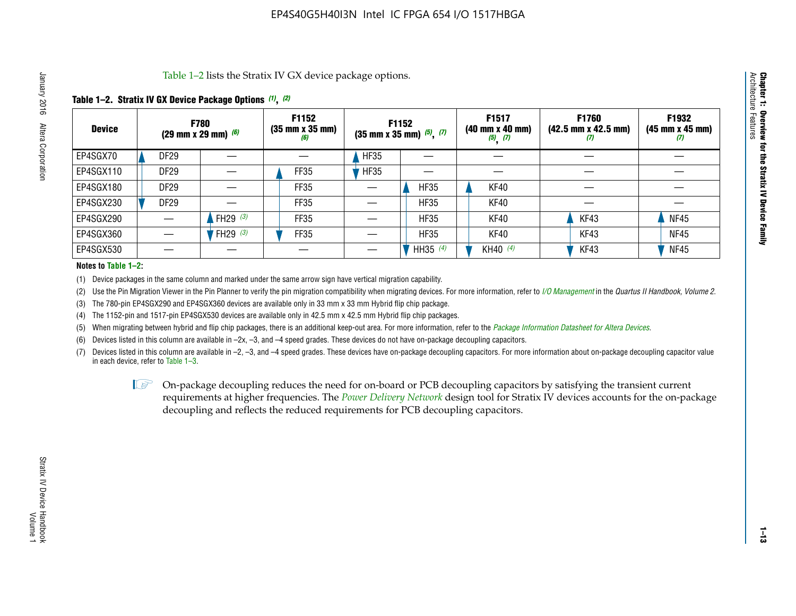Table 1–2 lists the Stratix IV GX device package options.

#### **Table 1–2. Stratix IV GX Device Package Options** *(1)***,** *(2)*

| <b>Device</b> |                  | <b>F780</b><br>(29 mm x 29 mm) $(6)$ | F1152<br>$(35 \, \text{mm} \times 35 \, \text{mm})$<br>(6) |             | <b>F1152</b><br>$(35$ mm x 35 mm) $(5)$ , $(7)$ | F1517<br>(40 mm x 40 mm)<br>$(5)$ $(7)$ | <b>F1760</b><br>$(42.5 \text{ mm} \times 42.5 \text{ mm})$<br>$\boldsymbol{v}$ | F1932<br>$(45 \, \text{mm} \times 45 \, \text{mm})$<br>(7) |
|---------------|------------------|--------------------------------------|------------------------------------------------------------|-------------|-------------------------------------------------|-----------------------------------------|--------------------------------------------------------------------------------|------------------------------------------------------------|
| EP4SGX70      | <b>DF29</b>      |                                      |                                                            | <b>HF35</b> |                                                 |                                         |                                                                                |                                                            |
| EP4SGX110     | <b>DF29</b>      |                                      | FF35                                                       | <b>HF35</b> |                                                 |                                         |                                                                                |                                                            |
| EP4SGX180     | DF <sub>29</sub> |                                      | FF35                                                       |             | <b>HF35</b>                                     | KF40                                    |                                                                                |                                                            |
| EP4SGX230     | DF <sub>29</sub> |                                      | FF35                                                       |             | <b>HF35</b>                                     | KF40                                    |                                                                                |                                                            |
| EP4SGX290     |                  | FH29 $(3)$                           | <b>FF35</b>                                                |             | <b>HF35</b>                                     | KF40                                    | KF43                                                                           | <b>NF45</b>                                                |
| EP4SGX360     |                  | FH29 $(3)$                           | <b>FF35</b>                                                |             | <b>HF35</b>                                     | KF40                                    | KF43                                                                           | <b>NF45</b>                                                |
| EP4SGX530     |                  |                                      |                                                            |             | HH35 (4)                                        | KH40 (4)                                | KF43                                                                           | <b>NF45</b>                                                |

#### **Notes to Table 1–2:**

(1) Device packages in the same column and marked under the same arrow sign have vertical migration capability.

(2) Use the Pin Migration Viewer in the Pin Planner to verify the pin migration compatibility when migrating devices. For more information, refer to *[I/O Management](http://www.altera.com/literature/hb/qts/qts_qii52013.pdf)* in the *Quartus II Handbook, Volume 2*.

(3) The 780-pin EP4SGX290 and EP4SGX360 devices are available only in 33 mm x 33 mm Hybrid flip chip package.

(4) The 1152-pin and 1517-pin EP4SGX530 devices are available only in 42.5 mm x 42.5 mm Hybrid flip chip packages.

(5) When migrating between hybrid and flip chip packages, there is an additional keep-out area. For more information, refer to the *[Package Information Datasheet for Altera Devices](http://www.altera.com/literature/ds/dspkg.pdf)*.

(6) Devices listed in this column are available in –2x, –3, and –4 speed grades. These devices do not have on-package decoupling capacitors.

(7) Devices listed in this column are available in –2, –3, and –4 speed grades. These devices have on-package decoupling capacitors. For more information about on-package decoupling capacitor value in each device, refer to Table 1–3.

 $\mathbb{D}$  On-package decoupling reduces the need for on-board or PCB decoupling capacitors by satisfying the transient current requirements at higher frequencies. The *[Power Delivery Network](http://www.altera.com/literature/ug/pdn_tool_stxiv.zip)* design tool for Stratix IV devices accounts for the on-package decoupling and reflects the reduced requirements for PCB decoupling capacitors.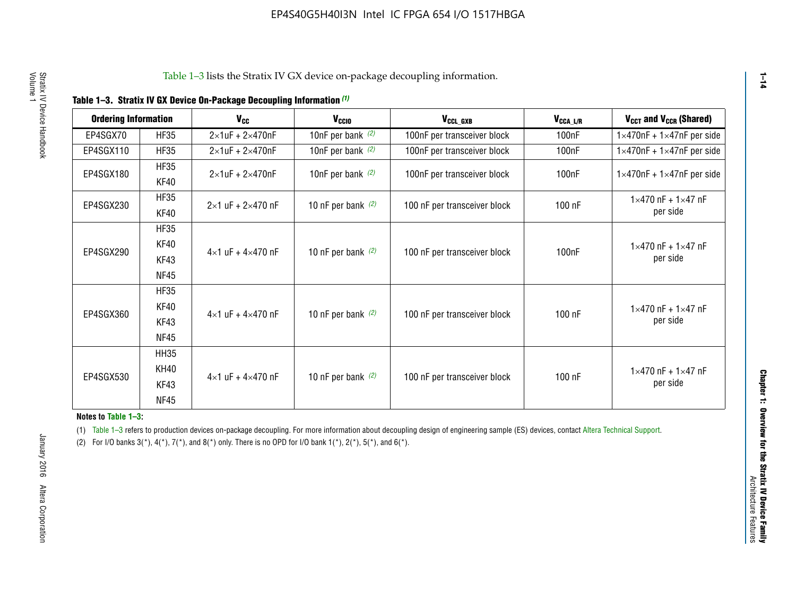| <b>Ordering Information</b> |                     | <b>V<sub>cc</sub></b>               | V <sub>ccio</sub>    | V <sub>CCL GXB</sub>         | V <sub>CCA_L/R</sub> | V <sub>CCT</sub> and V <sub>CCR</sub> (Shared)   |
|-----------------------------|---------------------|-------------------------------------|----------------------|------------------------------|----------------------|--------------------------------------------------|
| EP4SGX70                    | <b>HF35</b>         | $2\times1$ uF + $2\times470$ nF     | 10nF per bank $(2)$  | 100nF per transceiver block  | 100 <sub>n</sub> F   | $1 \times 470$ nF + $1 \times 47$ nF per side    |
| EP4SGX110                   | <b>HF35</b>         | $2\times1$ uF + $2\times470$ nF     | 10nF per bank $(2)$  | 100nF per transceiver block  | 100 <sub>n</sub> F   | $1\times470$ nF + $1\times47$ nF per side        |
| EP4SGX180                   | <b>HF35</b><br>KF40 | $2\times1$ uF + $2\times470$ nF     | 10nF per bank $(2)$  | 100nF per transceiver block  | 100 <sub>n</sub> F   | $1 \times 470$ nF + $1 \times 47$ nF per side    |
| EP4SGX230                   | <b>HF35</b><br>KF40 | $2 \times 1$ uF + $2 \times 470$ nF | 10 nF per bank $(2)$ | 100 nF per transceiver block | 100 nF               | $1 \times 470$ nF + $1 \times 47$ nF<br>per side |
| EP4SGX290                   | <b>HF35</b><br>KF40 |                                     |                      |                              |                      | $1 \times 470$ nF + $1 \times 47$ nF             |
|                             | KF43<br><b>NF45</b> | $4 \times 1$ uF + $4 \times 470$ nF | 10 nF per bank $(2)$ | 100 nF per transceiver block | 100nF                | per side                                         |
|                             | <b>HF35</b><br>KF40 |                                     |                      |                              |                      | $1 \times 470$ nF + $1 \times 47$ nF             |
| EP4SGX360                   | KF43<br><b>NF45</b> | $4 \times 1$ uF + $4 \times 470$ nF | 10 nF per bank $(2)$ | 100 nF per transceiver block | 100 nF               | per side                                         |
|                             | <b>HH35</b>         |                                     |                      |                              |                      |                                                  |
| EP4SGX530                   | <b>KH40</b><br>KF43 | $4 \times 1$ uF + $4 \times 470$ nF | 10 nF per bank $(2)$ | 100 nF per transceiver block | 100 nF               | $1 \times 470$ nF + $1 \times 47$ nF<br>per side |
|                             | <b>NF45</b>         |                                     |                      |                              |                      |                                                  |

**Notes to Table 1–3:**

(1) Table 1-3 refers to production devices on-package decoupling. For more information about decoupling design of engineering sample (ES) devices, contact [Altera Technical Support](http://mysupport.altera.com/eservice/login.asp).

(2) For I/O banks  $3(*)$ ,  $4(*)$ ,  $7(*)$ , and  $8(*)$  only. There is no OPD for I/O bank  $1(*)$ ,  $2(*)$ ,  $5(*)$ , and  $6(*)$ .

**1–14**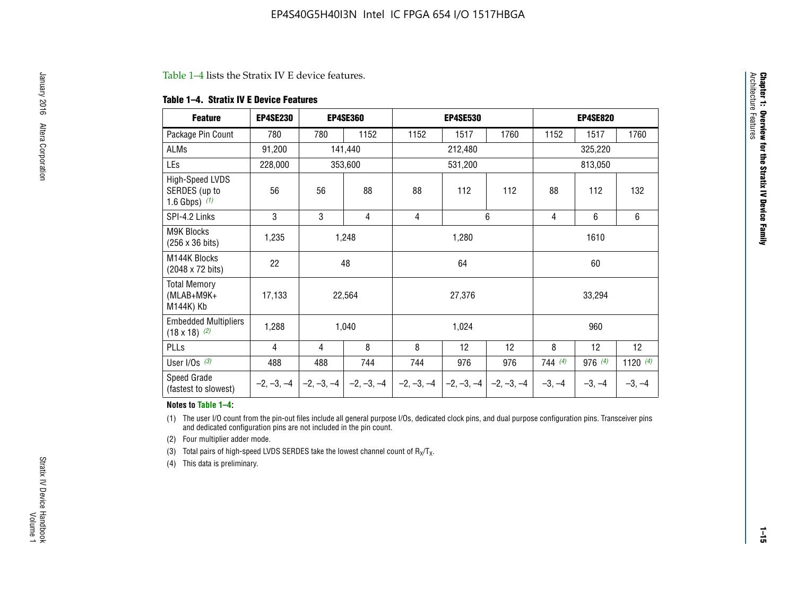#### Table 1–4 lists the Stratix IV E device features.

#### **Table 1–4. Stratix IV E Device Features**

| <b>Feature</b>                                      | <b>EP4SE230</b> |     | <b>EP4SE360</b>                          |              | <b>EP4SE530</b> |              |          | <b>EP4SE820</b> |            |  |
|-----------------------------------------------------|-----------------|-----|------------------------------------------|--------------|-----------------|--------------|----------|-----------------|------------|--|
| Package Pin Count                                   | 780             | 780 | 1152                                     | 1152         | 1517            | 1760         | 1152     | 1517            | 1760       |  |
| ALMs                                                | 91,200          |     | 141,440                                  |              | 212,480         |              | 325,220  |                 |            |  |
| LEs                                                 | 228,000         |     | 353,600                                  |              | 531,200         |              |          | 813,050         |            |  |
| High-Speed LVDS<br>SERDES (up to<br>1.6 Gbps) $(1)$ | 56              | 56  | 88                                       | 88           | 112             | 112          | 88       | 112             | 132        |  |
| SPI-4.2 Links                                       | 3               | 3   | 4                                        | 4            |                 | 6            | 4        | 6               | 6          |  |
| <b>M9K Blocks</b><br>(256 x 36 bits)                | 1,235           |     | 1,248                                    |              | 1,280           |              | 1610     |                 |            |  |
| M144K Blocks<br>(2048 x 72 bits)                    | 22              |     | 48                                       |              | 64              |              | 60       |                 |            |  |
| <b>Total Memory</b><br>$(MLAB+M9K+$<br>M144K) Kb    | 17,133          |     | 22,564                                   |              | 27,376          |              |          | 33,294          |            |  |
| <b>Embedded Multipliers</b><br>$(18 \times 18)$ (2) | 1,288           |     | 1,040                                    |              | 1,024           |              |          | 960             |            |  |
| PLLs                                                | 4               | 4   | 8                                        | 8            | 12              | 12           | 8        | 12              | 12         |  |
| User I/Os $(3)$                                     | 488             | 488 | 744                                      | 744          | 976             | 976          | 744(4)   | 976 (4)         | 1120 $(4)$ |  |
| Speed Grade<br>(fastest to slowest)                 |                 |     | $-2, -3, -4$ $ -2, -3, -4$ $ -2, -3, -4$ | $-2, -3, -4$ | $-2, -3, -4$    | $-2, -3, -4$ | $-3, -4$ | $-3, -4$        | $-3, -4$   |  |

#### **Notes to Table 1–4:**

(1) The user I/O count from the pin-out files include all general purpose I/Os, dedicated clock pins, and dual purpose configuration pins. Transceiver pins and dedicated configuration pins are not included in the pin count.

(2) Four multiplier adder mode.

(3) Total pairs of high-speed LVDS SERDES take the lowest channel count of  $R_X/T_X$ .

(4) This data is preliminary.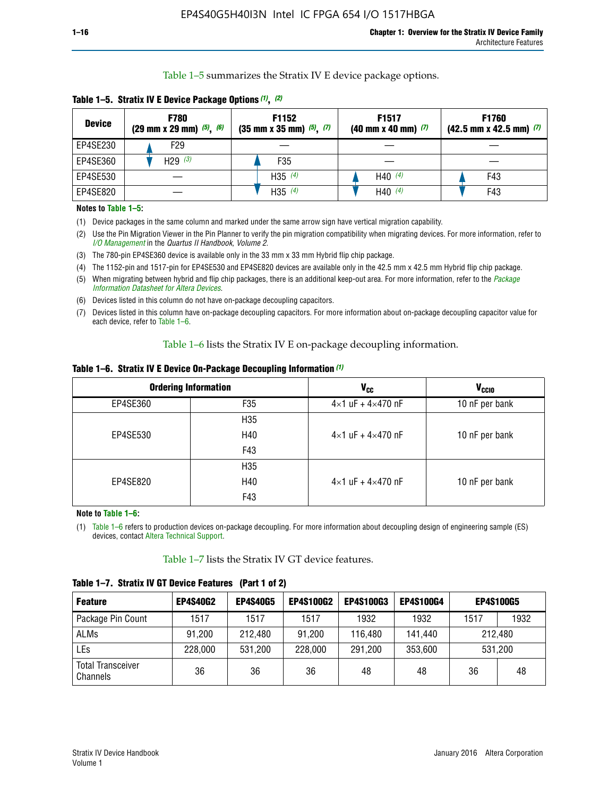Table 1–5 summarizes the Stratix IV E device package options.

| <b>Device</b> | <b>F780</b><br>$(29 \text{ mm} \times 29 \text{ mm})$ $(5)$ , $(6)$ | F1152<br>$(35 \text{ mm} \times 35 \text{ mm})$ $(5)$ $(7)$ | F <sub>1517</sub><br>$(40 \text{ mm} \times 40 \text{ mm})$ (7) | <b>F1760</b><br>$(42.5$ mm x 42.5 mm) $(7)$ |
|---------------|---------------------------------------------------------------------|-------------------------------------------------------------|-----------------------------------------------------------------|---------------------------------------------|
| EP4SE230      | F <sub>29</sub>                                                     |                                                             |                                                                 |                                             |
| EP4SE360      | H29 $(3)$                                                           | F35                                                         |                                                                 |                                             |
| EP4SE530      |                                                                     | H35 $(4)$                                                   | H40 $(4)$                                                       | F43                                         |
| EP4SE820      |                                                                     | H35 $(4)$                                                   | H40 $(4)$                                                       | F43                                         |

**Table 1–5. Stratix IV E Device Package Options** *(1)***,** *(2)*

#### **Notes to Table 1–5:**

(1) Device packages in the same column and marked under the same arrow sign have vertical migration capability.

(2) Use the Pin Migration Viewer in the Pin Planner to verify the pin migration compatibility when migrating devices. For more information, refer to *[I/O Management](http://www.altera.com/literature/hb/qts/qts_qii52013.pdf)* in the *Quartus II Handbook, Volume 2*.

(3) The 780-pin EP4SE360 device is available only in the 33 mm x 33 mm Hybrid flip chip package.

(4) The 1152-pin and 1517-pin for EP4SE530 and EP4SE820 devices are available only in the 42.5 mm x 42.5 mm Hybrid flip chip package.

(5) When migrating between hybrid and flip chip packages, there is an additional keep-out area. For more information, refer to the *[Package](http://www.altera.com/literature/ds/dspkg.pdf)  [Information Datasheet for Altera Devices](http://www.altera.com/literature/ds/dspkg.pdf)*.

(6) Devices listed in this column do not have on-package decoupling capacitors.

(7) Devices listed in this column have on-package decoupling capacitors. For more information about on-package decoupling capacitor value for each device, refer to Table 1–6.

Table 1–6 lists the Stratix IV E on-package decoupling information.

| Table 1–6. Stratix IV E Device On-Package Decoupling Information (1) |  |  |  |  |  |
|----------------------------------------------------------------------|--|--|--|--|--|
|----------------------------------------------------------------------|--|--|--|--|--|

|          | <b>Ordering Information</b> | V <sub>cc</sub>                     | <b>V<sub>CCIO</sub></b> |
|----------|-----------------------------|-------------------------------------|-------------------------|
| EP4SE360 | F35                         | $4 \times 1$ uF + $4 \times 470$ nF | 10 nF per bank          |
|          | H <sub>35</sub>             |                                     |                         |
| EP4SE530 | H40                         | $4 \times 1$ uF + $4 \times 470$ nF | 10 nF per bank          |
|          | F43                         |                                     |                         |
|          | H <sub>35</sub>             |                                     |                         |
| EP4SE820 | H40                         | $4 \times 1$ uF + $4 \times 470$ nF | 10 nF per bank          |
|          | F43                         |                                     |                         |

**Note to Table 1–6:**

(1) Table 1–6 refers to production devices on-package decoupling. For more information about decoupling design of engineering sample (ES) devices, contact [Altera Technical Support](http://mysupport.altera.com/eservice/login.asp).

Table 1–7 lists the Stratix IV GT device features.

| <b>Feature</b>                       | <b>EP4S40G2</b> | <b>EP4S40G5</b> | <b>EP4S100G2</b> | <b>EP4S100G3</b> | <b>EP4S100G4</b> | <b>EP4S100G5</b> |         |
|--------------------------------------|-----------------|-----------------|------------------|------------------|------------------|------------------|---------|
| Package Pin Count                    | 1517            | 1517            | 1517             | 1932             | 1932             | 1517             | 1932    |
| <b>ALMs</b>                          | 91,200          | 212,480         | 91,200           | 116,480          | 141,440          | 212.480          |         |
| LEs                                  | 228,000         | 531,200         | 228,000          | 291,200          | 353,600          |                  | 531,200 |
| <b>Total Transceiver</b><br>Channels | 36              | 36              | 36               | 48               | 48               | 36               | 48      |

**Table 1–7. Stratix IV GT Device Features (Part 1 of 2)**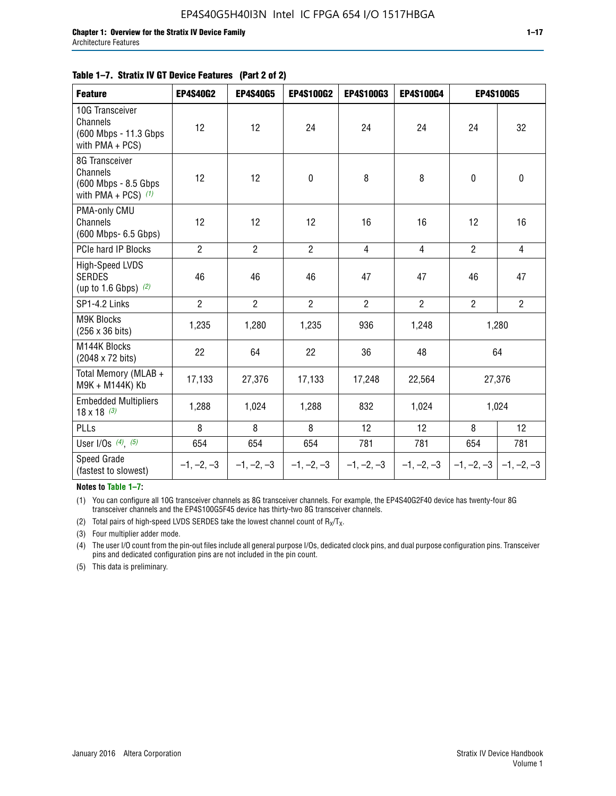#### **Table 1–7. Stratix IV GT Device Features (Part 2 of 2)**

| <b>Feature</b>                                                              | <b>EP4S40G2</b> | <b>EP4S40G5</b> | <b>EP4S100G2</b> | <b>EP4S100G3</b> | <b>EP4S100G4</b> |                | <b>EP4S100G5</b>          |
|-----------------------------------------------------------------------------|-----------------|-----------------|------------------|------------------|------------------|----------------|---------------------------|
| 10G Transceiver<br>Channels<br>(600 Mbps - 11.3 Gbps<br>with PMA + PCS)     | 12              | 12              | 24               | 24               | 24               | 24             | 32                        |
| 8G Transceiver<br>Channels<br>(600 Mbps - 8.5 Gbps<br>with PMA + PCS) $(1)$ | 12              | 12              | $\pmb{0}$        | 8                | 8                | $\mathbf 0$    | 0                         |
| PMA-only CMU<br>Channels<br>(600 Mbps- 6.5 Gbps)                            | 12              | 12              | 12               | 16               | 16               | 12             | 16                        |
| PCIe hard IP Blocks                                                         | $\overline{2}$  | $\overline{2}$  | $\overline{2}$   | $\overline{4}$   | $\overline{4}$   | $\overline{2}$ | $\overline{4}$            |
| <b>High-Speed LVDS</b><br><b>SERDES</b><br>(up to 1.6 Gbps) $(2)$           | 46              | 46              | 46               | 47               | 47               | 46             | 47                        |
| SP1-4.2 Links                                                               | $\overline{2}$  | $\overline{2}$  | $\overline{2}$   | $\overline{2}$   | $\overline{2}$   | $\overline{2}$ | $\overline{2}$            |
| <b>M9K Blocks</b><br>(256 x 36 bits)                                        | 1,235           | 1,280           | 1,235            | 936              | 1,248            |                | 1,280                     |
| M144K Blocks<br>(2048 x 72 bits)                                            | 22              | 64              | 22               | 36               | 48               |                | 64                        |
| Total Memory (MLAB +<br>M9K + M144K) Kb                                     | 17,133          | 27,376          | 17,133           | 17,248           | 22,564           |                | 27,376                    |
| <b>Embedded Multipliers</b><br>$18 \times 18^{(3)}$                         | 1,288           | 1,024           | 1,288            | 832              | 1,024            |                | 1,024                     |
| PLLs                                                                        | 8               | 8               | 8                | 12               | 12               | 8              | 12                        |
| User I/Os $(4)$ , $(5)$                                                     | 654             | 654             | 654              | 781              | 781              | 654            | 781                       |
| Speed Grade<br>(fastest to slowest)                                         | $-1, -2, -3$    | $-1, -2, -3$    | $-1, -2, -3$     | $-1, -2, -3$     | $-1, -2, -3$     |                | $-1, -2, -3$ $-1, -2, -3$ |

**Notes to Table 1–7:**

(1) You can configure all 10G transceiver channels as 8G transceiver channels. For example, the EP4S40G2F40 device has twenty-four 8G transceiver channels and the EP4S100G5F45 device has thirty-two 8G transceiver channels.

(2) Total pairs of high-speed LVDS SERDES take the lowest channel count of  $R_X/T_X$ .

(3) Four multiplier adder mode.

(4) The user I/O count from the pin-out files include all general purpose I/Os, dedicated clock pins, and dual purpose configuration pins. Transceiver pins and dedicated configuration pins are not included in the pin count.

(5) This data is preliminary.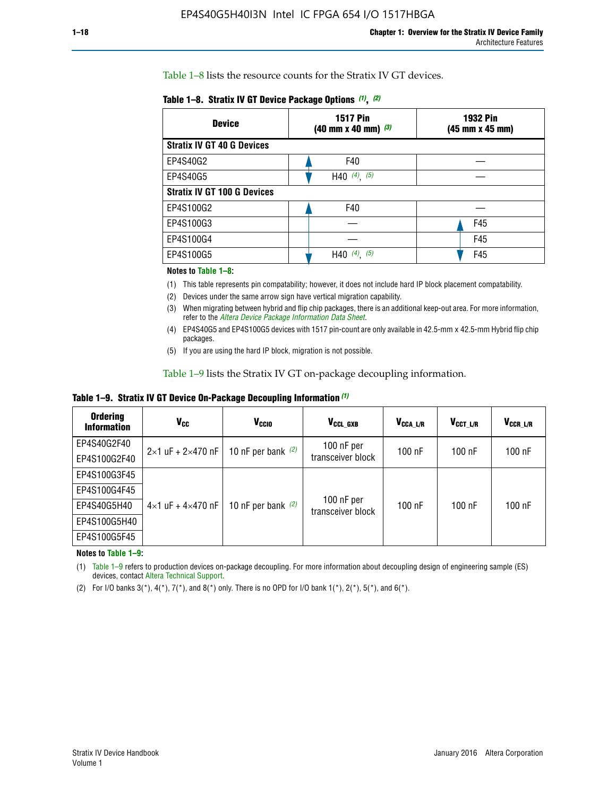Table 1–8 lists the resource counts for the Stratix IV GT devices.

| <b>Device</b>                      | <b>1517 Pin</b><br><b>1932 Pin</b><br>$(40 \text{ mm} \times 40 \text{ mm})$ $(3)$<br>(45 mm x 45 mm) |     |  |
|------------------------------------|-------------------------------------------------------------------------------------------------------|-----|--|
| <b>Stratix IV GT 40 G Devices</b>  |                                                                                                       |     |  |
| EP4S40G2                           | F40                                                                                                   |     |  |
| EP4S40G5                           | H40 $(4)$ , $(5)$                                                                                     |     |  |
| <b>Stratix IV GT 100 G Devices</b> |                                                                                                       |     |  |
| EP4S100G2                          | F40                                                                                                   |     |  |
| EP4S100G3                          |                                                                                                       | F45 |  |
| EP4S100G4                          |                                                                                                       | F45 |  |
| EP4S100G5                          | (5)<br>$(4)$ ,<br>H40                                                                                 | F45 |  |

#### **Notes to Table 1–8:**

(1) This table represents pin compatability; however, it does not include hard IP block placement compatability.

- (2) Devices under the same arrow sign have vertical migration capability.
- (3) When migrating between hybrid and flip chip packages, there is an additional keep-out area. For more information, refer to the *[Altera Device Package Information Data Sheet](http://www.altera.com/literature/ds/dspkg.pdf)*.
- (4) EP4S40G5 and EP4S100G5 devices with 1517 pin-count are only available in 42.5-mm x 42.5-mm Hybrid flip chip packages.
- (5) If you are using the hard IP block, migration is not possible.

Table 1–9 lists the Stratix IV GT on-package decoupling information.

**Table 1–9. Stratix IV GT Device On-Package Decoupling Information** *(1)*

| <b>Ordering</b><br><b>Information</b> | Vcc                                 | <b>V<sub>CCIO</sub></b> | V <sub>CCL GXB</sub>            | V <sub>CCA L/R</sub> | V <sub>CCT L/R</sub> | V <sub>CCR_L/R</sub> |
|---------------------------------------|-------------------------------------|-------------------------|---------------------------------|----------------------|----------------------|----------------------|
| EP4S40G2F40                           | $2 \times 1$ uF + $2 \times 470$ nF | 10 nF per bank $(2)$    | 100 nF per<br>transceiver block | $100$ nF             | $100$ nF             | $100$ nF             |
| EP4S100G2F40                          |                                     |                         |                                 |                      |                      |                      |
| EP4S100G3F45                          |                                     | 10 nF per bank $(2)$    | 100 nF per<br>transceiver block | $100$ nF             | $100$ nF             | $100$ nF             |
| EP4S100G4F45                          |                                     |                         |                                 |                      |                      |                      |
| EP4S40G5H40                           | $4\times1$ uF + $4\times470$ nF     |                         |                                 |                      |                      |                      |
| EP4S100G5H40                          |                                     |                         |                                 |                      |                      |                      |
| EP4S100G5F45                          |                                     |                         |                                 |                      |                      |                      |

**Notes to Table 1–9:**

(1) Table 1–9 refers to production devices on-package decoupling. For more information about decoupling design of engineering sample (ES) devices, contact [Altera Technical Support](http://mysupport.altera.com/eservice/login.asp).

(2) For I/O banks  $3(*)$ ,  $4(*)$ ,  $7(*)$ , and  $8(*)$  only. There is no OPD for I/O bank  $1(*)$ ,  $2(*)$ ,  $5(*)$ , and  $6(*)$ .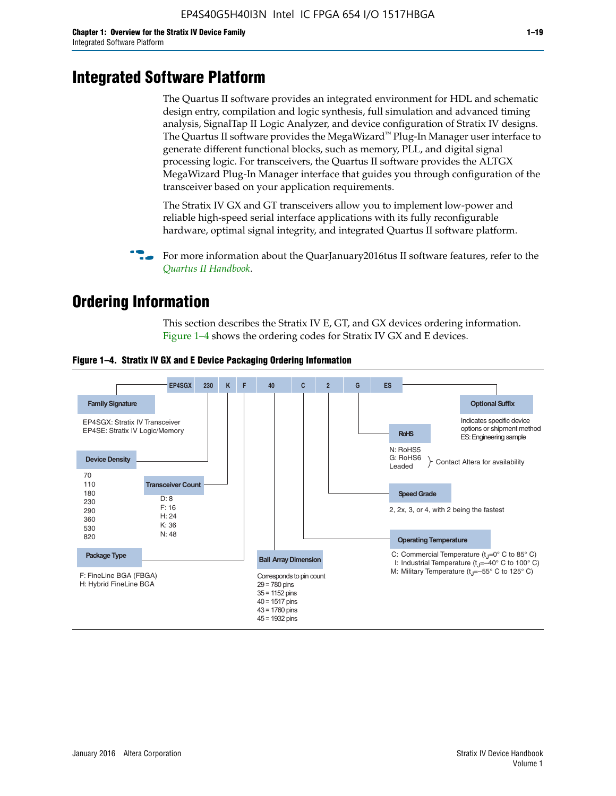# **Integrated Software Platform**

The Quartus II software provides an integrated environment for HDL and schematic design entry, compilation and logic synthesis, full simulation and advanced timing analysis, SignalTap II Logic Analyzer, and device configuration of Stratix IV designs. The Quartus II software provides the MegaWizard<sup> $M$ </sup> Plug-In Manager user interface to generate different functional blocks, such as memory, PLL, and digital signal processing logic. For transceivers, the Quartus II software provides the ALTGX MegaWizard Plug-In Manager interface that guides you through configuration of the transceiver based on your application requirements.

The Stratix IV GX and GT transceivers allow you to implement low-power and reliable high-speed serial interface applications with its fully reconfigurable hardware, optimal signal integrity, and integrated Quartus II software platform.

For more information about the QuarJanuary2016tus II software features, refer to the *[Quartus II Handbook](http://www.altera.com/literature/lit-qts.jsp)*.

# **Ordering Information**

This section describes the Stratix IV E, GT, and GX devices ordering information. Figure 1–4 shows the ordering codes for Stratix IV GX and E devices.



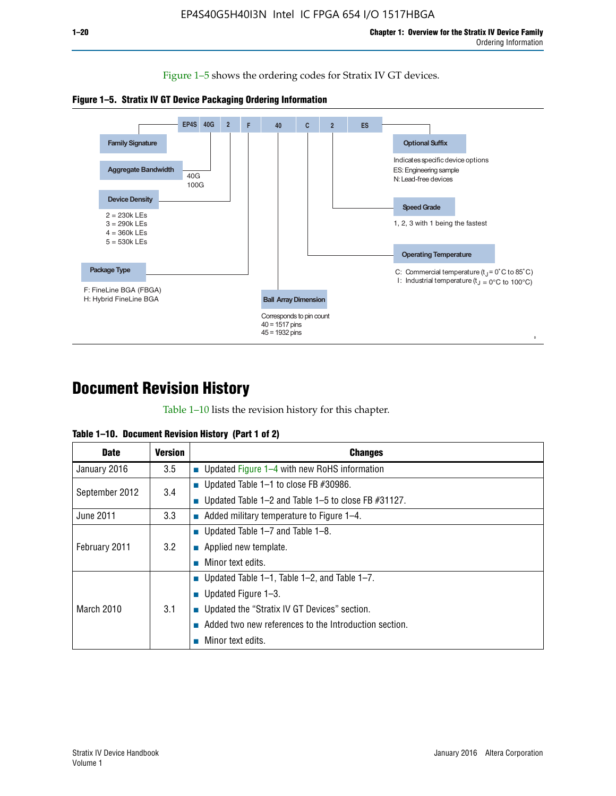Figure 1–5 shows the ordering codes for Stratix IV GT devices.





# **Document Revision History**

Table 1–10 lists the revision history for this chapter.

| Table 1–10. Document Revision History (Part 1 of 2) |  |  |  |  |  |
|-----------------------------------------------------|--|--|--|--|--|
|-----------------------------------------------------|--|--|--|--|--|

| <b>Date</b>       | Version | <b>Changes</b>                                         |
|-------------------|---------|--------------------------------------------------------|
| January 2016      | 3.5     | <b>Updated Figure 1–4 with new RoHS information</b>    |
| September 2012    | 3.4     | ■ Updated Table 1–1 to close FB $#30986$ .             |
|                   |         | Updated Table 1–2 and Table 1–5 to close FB $#31127$ . |
| June 2011         | 3.3     | Added military temperature to Figure 1–4.              |
| February 2011     | 3.2     | ■ Updated Table 1–7 and Table 1–8.                     |
|                   |         | $\blacksquare$ Applied new template.                   |
|                   |         | Minor text edits.                                      |
|                   |         | <b>Updated Table 1–1, Table 1–2, and Table 1–7.</b>    |
| <b>March 2010</b> | 3.1     | ■ Updated Figure $1-3$ .                               |
|                   |         | ■ Updated the "Stratix IV GT Devices" section.         |
|                   |         | Added two new references to the Introduction section.  |
|                   |         | Minor text edits.                                      |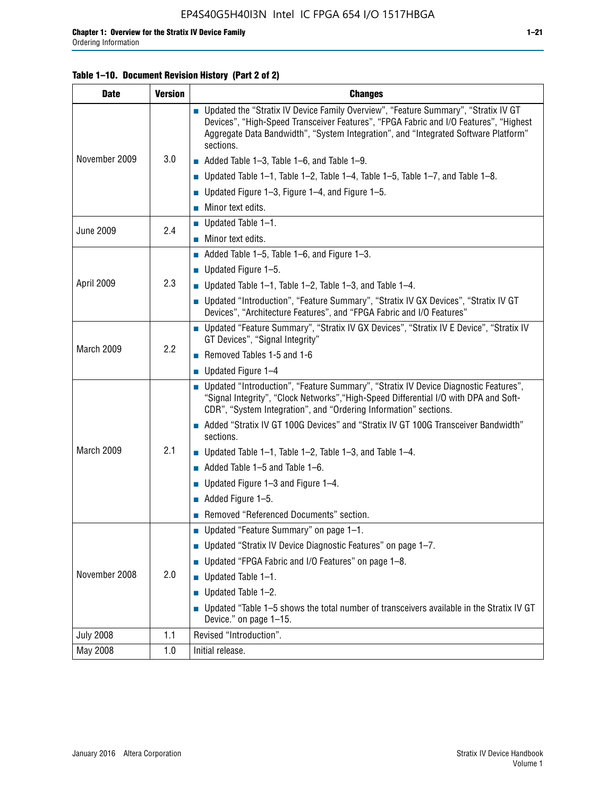Г

| <b>Date</b>      | <b>Version</b> | <b>Changes</b>                                                                                                                                                                                                                                                                    |  |  |
|------------------|----------------|-----------------------------------------------------------------------------------------------------------------------------------------------------------------------------------------------------------------------------------------------------------------------------------|--|--|
|                  |                | ■ Updated the "Stratix IV Device Family Overview", "Feature Summary", "Stratix IV GT<br>Devices", "High-Speed Transceiver Features", "FPGA Fabric and I/O Features", "Highest<br>Aggregate Data Bandwidth", "System Integration", and "Integrated Software Platform"<br>sections. |  |  |
| November 2009    | 3.0            | Added Table 1-3, Table 1-6, and Table 1-9.                                                                                                                                                                                                                                        |  |  |
|                  |                | <b>Updated Table 1–1, Table 1–2, Table 1–4, Table 1–5, Table 1–7, and Table 1–8.</b>                                                                                                                                                                                              |  |  |
|                  |                | ■ Updated Figure 1–3, Figure 1–4, and Figure 1–5.                                                                                                                                                                                                                                 |  |  |
|                  |                | ■ Minor text edits.                                                                                                                                                                                                                                                               |  |  |
| <b>June 2009</b> | 2.4            | $\blacksquare$ Updated Table 1-1.                                                                                                                                                                                                                                                 |  |  |
|                  |                | ■ Minor text edits.                                                                                                                                                                                                                                                               |  |  |
|                  |                | Added Table 1–5, Table 1–6, and Figure 1–3.                                                                                                                                                                                                                                       |  |  |
|                  |                | <b>Updated Figure 1–5.</b>                                                                                                                                                                                                                                                        |  |  |
| April 2009       | 2.3            | ■ Updated Table 1–1, Table 1–2, Table 1–3, and Table 1–4.                                                                                                                                                                                                                         |  |  |
|                  |                | ■ Updated "Introduction", "Feature Summary", "Stratix IV GX Devices", "Stratix IV GT<br>Devices", "Architecture Features", and "FPGA Fabric and I/O Features"                                                                                                                     |  |  |
|                  | 2.2            | ■ Updated "Feature Summary", "Stratix IV GX Devices", "Stratix IV E Device", "Stratix IV<br>GT Devices", "Signal Integrity"                                                                                                                                                       |  |  |
| March 2009       |                | Removed Tables 1-5 and 1-6                                                                                                                                                                                                                                                        |  |  |
|                  |                | $\blacksquare$ Updated Figure 1-4                                                                                                                                                                                                                                                 |  |  |
|                  |                | ■ Updated "Introduction", "Feature Summary", "Stratix IV Device Diagnostic Features",<br>"Signal Integrity", "Clock Networks", "High-Speed Differential I/O with DPA and Soft-<br>CDR", "System Integration", and "Ordering Information" sections.                                |  |  |
|                  |                | Added "Stratix IV GT 100G Devices" and "Stratix IV GT 100G Transceiver Bandwidth"<br>sections.                                                                                                                                                                                    |  |  |
| March 2009       | 2.1            | <b>Updated Table 1–1, Table 1–2, Table 1–3, and Table 1–4.</b>                                                                                                                                                                                                                    |  |  |
|                  |                | $\blacksquare$ Added Table 1-5 and Table 1-6.                                                                                                                                                                                                                                     |  |  |
|                  |                | ■ Updated Figure 1–3 and Figure 1–4.                                                                                                                                                                                                                                              |  |  |
|                  |                | $\blacksquare$ Added Figure 1-5.                                                                                                                                                                                                                                                  |  |  |
|                  |                | Removed "Referenced Documents" section.                                                                                                                                                                                                                                           |  |  |
|                  |                | ■ Updated "Feature Summary" on page 1-1.                                                                                                                                                                                                                                          |  |  |
| November 2008    |                | <b>Updated "Stratix IV Device Diagnostic Features" on page 1–7.</b>                                                                                                                                                                                                               |  |  |
|                  |                | ■ Updated "FPGA Fabric and I/O Features" on page 1-8.                                                                                                                                                                                                                             |  |  |
|                  | 2.0            | Updated Table 1-1.                                                                                                                                                                                                                                                                |  |  |
|                  |                | Updated Table 1-2.<br>П                                                                                                                                                                                                                                                           |  |  |
|                  |                | ■ Updated "Table 1–5 shows the total number of transceivers available in the Stratix IV GT<br>Device." on page 1-15.                                                                                                                                                              |  |  |
| <b>July 2008</b> | 1.1            | Revised "Introduction".                                                                                                                                                                                                                                                           |  |  |
| May 2008         | 1.0            | Initial release.                                                                                                                                                                                                                                                                  |  |  |